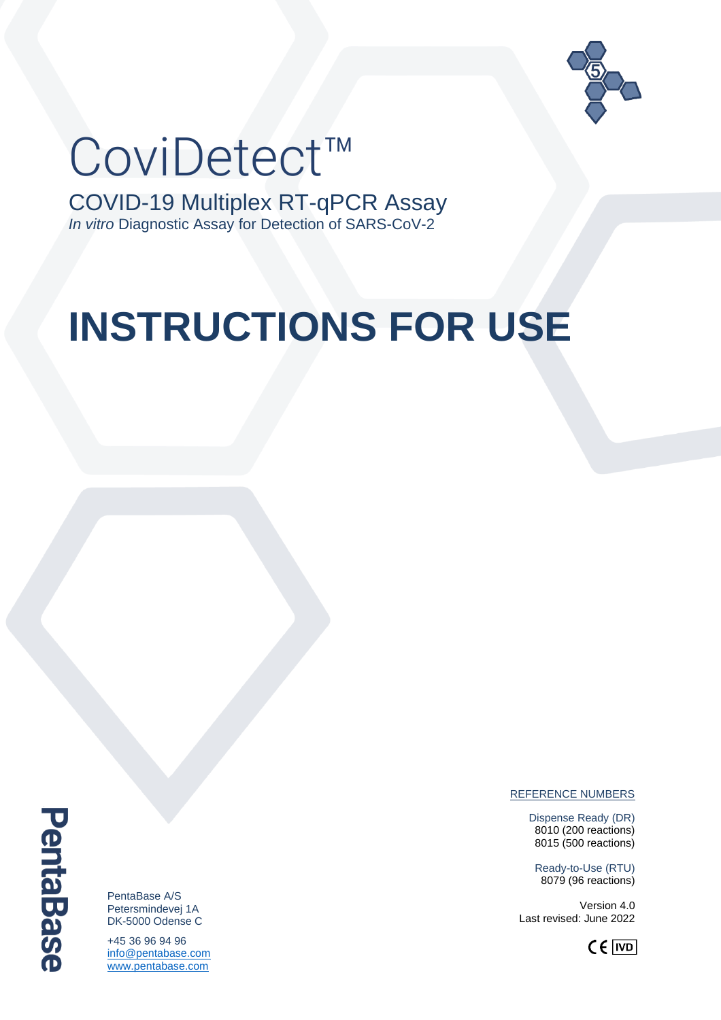

# CoviDetect™

COVID-19 Multiplex RT-qPCR Assay *In vitro* Diagnostic Assay for Detection of SARS-CoV-2

# **INSTRUCTIONS FOR USE**

**PentaBase** 

PentaBase A/S Petersmindevej 1A DK-5000 Odense C

+45 36 96 94 96 [info@pentabase.com](mailto:info@pentabase.com) [www.pentabase.com](http://www.pentabase.com/)

REFERENCE NUMBERS

Dispense Ready (DR) 8010 (200 reactions) 8015 (500 reactions)

Ready-to-Use (RTU) 8079 (96 reactions)

Version 4.0 Last revised: June 2022

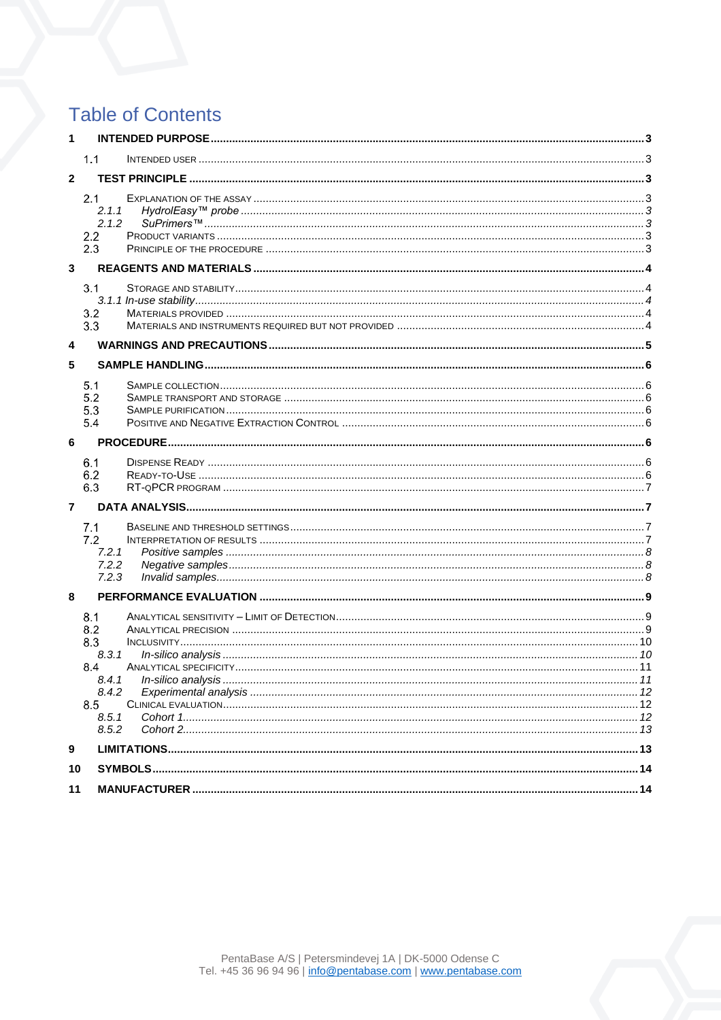# **Table of Contents**

| $\mathbf{1}$   |                                                            |  |
|----------------|------------------------------------------------------------|--|
|                | 1.1                                                        |  |
| $\mathbf{2}$   |                                                            |  |
|                | 2.1<br>2.1.1<br>2.1.2<br>2.2<br>2.3                        |  |
| $\mathbf{3}$   |                                                            |  |
|                | 3.1<br>3.2<br>3.3                                          |  |
| 4              |                                                            |  |
| 5              |                                                            |  |
|                | 5.1<br>5.2<br>5.3<br>5.4                                   |  |
| 6              |                                                            |  |
|                | 6.1<br>6.2<br>6.3                                          |  |
| $\overline{7}$ |                                                            |  |
|                | 7.1<br>7.2<br>7.2.1<br>7.2.2<br>7.2.3                      |  |
| 8              |                                                            |  |
|                | 8.1<br>8.2<br>8.3<br>8.3.1<br>8.4<br>8.4.1<br>8.4.2<br>8.5 |  |
|                | 8.5.1<br>8.5.2                                             |  |
| 9              |                                                            |  |
| 10             |                                                            |  |
| 11             |                                                            |  |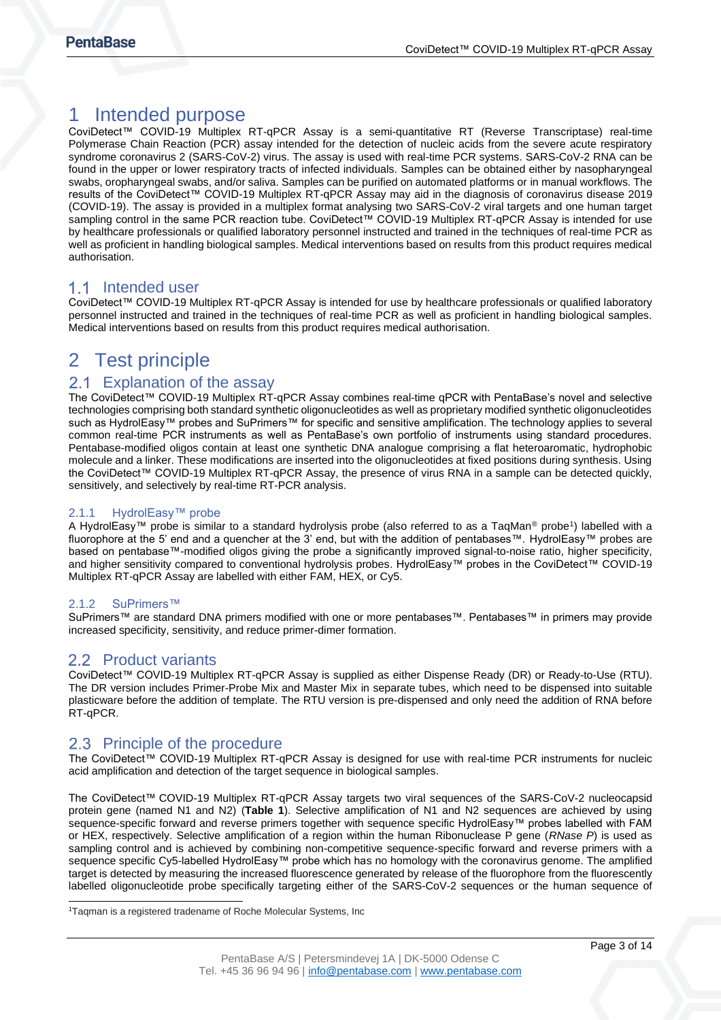# <span id="page-2-0"></span>1 Intended purpose

CoviDetect™ COVID-19 Multiplex RT-qPCR Assay is a semi-quantitative RT (Reverse Transcriptase) real-time Polymerase Chain Reaction (PCR) assay intended for the detection of nucleic acids from the severe acute respiratory syndrome coronavirus 2 (SARS-CoV-2) virus. The assay is used with real-time PCR systems. SARS-CoV-2 RNA can be found in the upper or lower respiratory tracts of infected individuals. Samples can be obtained either by nasopharyngeal swabs, oropharyngeal swabs, and/or saliva. Samples can be purified on automated platforms or in manual workflows. The results of the CoviDetect™ COVID-19 Multiplex RT-qPCR Assay may aid in the diagnosis of coronavirus disease 2019 (COVID-19). The assay is provided in a multiplex format analysing two SARS-CoV-2 viral targets and one human target sampling control in the same PCR reaction tube. CoviDetect™ COVID-19 Multiplex RT-qPCR Assay is intended for use by healthcare professionals or qualified laboratory personnel instructed and trained in the techniques of real-time PCR as well as proficient in handling biological samples. Medical interventions based on results from this product requires medical authorisation.

## <span id="page-2-1"></span>1.1 Intended user

CoviDetect™ COVID-19 Multiplex RT-qPCR Assay is intended for use by healthcare professionals or qualified laboratory personnel instructed and trained in the techniques of real-time PCR as well as proficient in handling biological samples. Medical interventions based on results from this product requires medical authorisation.

# <span id="page-2-2"></span>2 Test principle

## <span id="page-2-3"></span>2.1 Explanation of the assay

The CoviDetect™ COVID-19 Multiplex RT-qPCR Assay combines real-time qPCR with PentaBase's novel and selective technologies comprising both standard synthetic oligonucleotides as well as proprietary modified synthetic oligonucleotides such as HydrolEasy™ probes and SuPrimers™ for specific and sensitive amplification. The technology applies to several common real-time PCR instruments as well as PentaBase's own portfolio of instruments using standard procedures. Pentabase-modified oligos contain at least one synthetic DNA analogue comprising a flat heteroaromatic, hydrophobic molecule and a linker. These modifications are inserted into the oligonucleotides at fixed positions during synthesis. Using the CoviDetect™ COVID-19 Multiplex RT-qPCR Assay, the presence of virus RNA in a sample can be detected quickly, sensitively, and selectively by real-time RT-PCR analysis.

### <span id="page-2-4"></span>2.1.1 HydrolEasy™ probe

A HydrolEasy™ probe is similar to a standard hydrolysis probe (also referred to as a TaqMan® probe<sup>1</sup>) labelled with a fluorophore at the 5' end and a quencher at the 3' end, but with the addition of pentabases™. HydrolEasy™ probes are based on pentabase™-modified oligos giving the probe a significantly improved signal-to-noise ratio, higher specificity, and higher sensitivity compared to conventional hydrolysis probes. HydrolEasy™ probes in the CoviDetect™ COVID-19 Multiplex RT-qPCR Assay are labelled with either FAM, HEX, or Cy5.

#### <span id="page-2-5"></span>2.1.2 SuPrimers™

SuPrimers™ are standard DNA primers modified with one or more pentabases™. Pentabases™ in primers may provide increased specificity, sensitivity, and reduce primer-dimer formation.

## <span id="page-2-6"></span>2.2 Product variants

CoviDetect™ COVID-19 Multiplex RT-qPCR Assay is supplied as either Dispense Ready (DR) or Ready-to-Use (RTU). The DR version includes Primer-Probe Mix and Master Mix in separate tubes, which need to be dispensed into suitable plasticware before the addition of template. The RTU version is pre-dispensed and only need the addition of RNA before RT-qPCR.

## <span id="page-2-7"></span>2.3 Principle of the procedure

The CoviDetect™ COVID-19 Multiplex RT-qPCR Assay is designed for use with real-time PCR instruments for nucleic acid amplification and detection of the target sequence in biological samples.

The CoviDetect™ COVID-19 Multiplex RT-qPCR Assay targets two viral sequences of the SARS-CoV-2 nucleocapsid protein gene (named N1 and N2) (**[Table 1](#page-3-5)**). Selective amplification of N1 and N2 sequences are achieved by using sequence-specific forward and reverse primers together with sequence specific HydrolEasy™ probes labelled with FAM or HEX, respectively. Selective amplification of a region within the human Ribonuclease P gene (*RNase P*) is used as sampling control and is achieved by combining non-competitive sequence-specific forward and reverse primers with a sequence specific Cy5-labelled HydrolEasy™ probe which has no homology with the coronavirus genome. The amplified target is detected by measuring the increased fluorescence generated by release of the fluorophore from the fluorescently labelled oligonucleotide probe specifically targeting either of the SARS-CoV-2 sequences or the human sequence of

<sup>1</sup>Taqman is a registered tradename of Roche Molecular Systems, Inc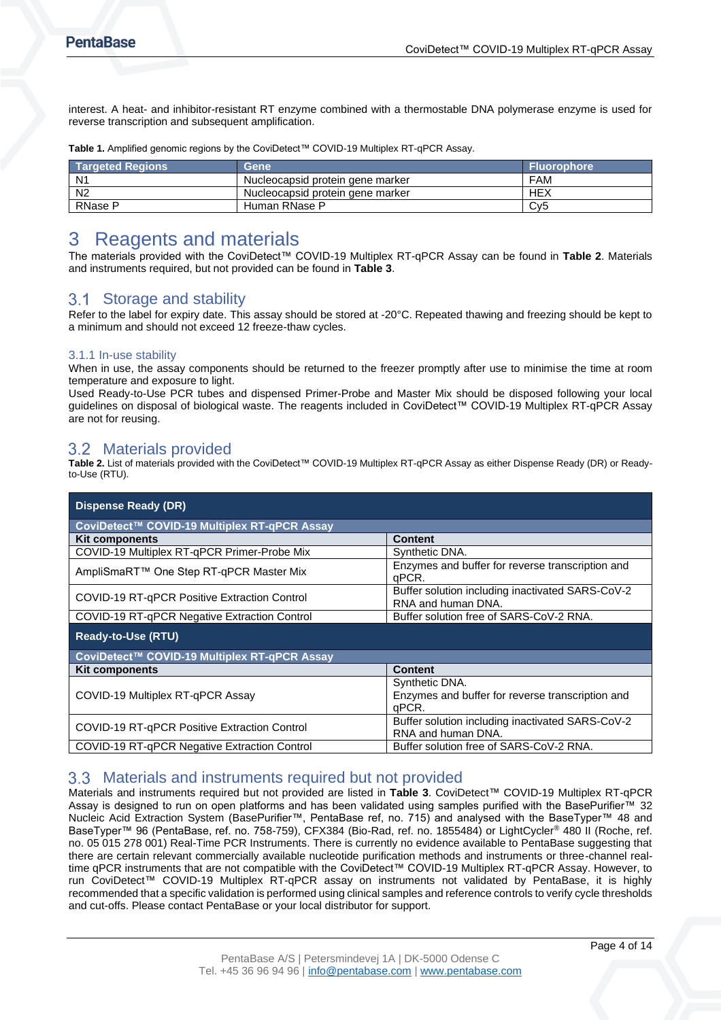interest. A heat- and inhibitor-resistant RT enzyme combined with a thermostable DNA polymerase enzyme is used for reverse transcription and subsequent amplification.

<span id="page-3-5"></span>**Table 1.** Amplified genomic regions by the CoviDetect™ COVID-19 Multiplex RT-qPCR Assay.

| <b>Targeted Regions</b> | Gene                             | <b>Fluorophore</b> |
|-------------------------|----------------------------------|--------------------|
| N <sub>1</sub>          | Nucleocapsid protein gene marker | <b>FAM</b>         |
| N <sub>2</sub>          | Nucleocapsid protein gene marker | <b>HEX</b>         |
| RNase P                 | Human RNase P                    | Cv5                |

## <span id="page-3-0"></span>3 Reagents and materials

The materials provided with the CoviDetect™ COVID-19 Multiplex RT-qPCR Assay can be found in **[Table 2](#page-3-6)**. Materials and instruments required, but not provided can be found in **[Table 3](#page-4-1)**.

## <span id="page-3-1"></span>Storage and stability

Refer to the label for expiry date. This assay should be stored at -20°C. Repeated thawing and freezing should be kept to a minimum and should not exceed 12 freeze-thaw cycles.

#### <span id="page-3-2"></span>3.1.1 In-use stability

When in use, the assay components should be returned to the freezer promptly after use to minimise the time at room temperature and exposure to light.

Used Ready-to-Use PCR tubes and dispensed Primer-Probe and Master Mix should be disposed following your local guidelines on disposal of biological waste. The reagents included in CoviDetect™ COVID-19 Multiplex RT-qPCR Assay are not for reusing.

## <span id="page-3-3"></span>3.2 Materials provided

<span id="page-3-6"></span>**Table 2.** List of materials provided with the CoviDetect™ COVID-19 Multiplex RT-qPCR Assay as either Dispense Ready (DR) or Readyto-Use (RTU).

| <b>Dispense Ready (DR)</b>                   |                                                                        |  |  |  |
|----------------------------------------------|------------------------------------------------------------------------|--|--|--|
| CoviDetect™ COVID-19 Multiplex RT-qPCR Assay |                                                                        |  |  |  |
| Kit components                               | Content                                                                |  |  |  |
| COVID-19 Multiplex RT-qPCR Primer-Probe Mix  | Synthetic DNA.                                                         |  |  |  |
| AmpliSmaRT™ One Step RT-qPCR Master Mix      | Enzymes and buffer for reverse transcription and<br>qPCR.              |  |  |  |
| COVID-19 RT-qPCR Positive Extraction Control | Buffer solution including inactivated SARS-CoV-2<br>RNA and human DNA. |  |  |  |
| COVID-19 RT-qPCR Negative Extraction Control | Buffer solution free of SARS-CoV-2 RNA.                                |  |  |  |
| <b>Ready-to-Use (RTU)</b>                    |                                                                        |  |  |  |
|                                              |                                                                        |  |  |  |
| CoviDetect™ COVID-19 Multiplex RT-qPCR Assay |                                                                        |  |  |  |
| Kit components                               | <b>Content</b>                                                         |  |  |  |
|                                              | Synthetic DNA.                                                         |  |  |  |
| COVID-19 Multiplex RT-qPCR Assay             | Enzymes and buffer for reverse transcription and                       |  |  |  |
|                                              | qPCR.                                                                  |  |  |  |
| COVID-19 RT-qPCR Positive Extraction Control | Buffer solution including inactivated SARS-CoV-2<br>RNA and human DNA. |  |  |  |

## <span id="page-3-4"></span>Materials and instruments required but not provided

Materials and instruments required but not provided are listed in **[Table 3](#page-4-1)**. CoviDetect™ COVID-19 Multiplex RT-qPCR Assay is designed to run on open platforms and has been validated using samples purified with the BasePurifier™ 32 Nucleic Acid Extraction System (BasePurifier™, PentaBase ref, no. 715) and analysed with the BaseTyper™ 48 and BaseTyper™ 96 (PentaBase, ref. no. 758-759), CFX384 (Bio-Rad, ref. no. 1855484) or LightCycler® 480 II (Roche, ref. no. 05 015 278 001) Real-Time PCR Instruments. There is currently no evidence available to PentaBase suggesting that there are certain relevant commercially available nucleotide purification methods and instruments or three-channel realtime qPCR instruments that are not compatible with the CoviDetect™ COVID-19 Multiplex RT-qPCR Assay. However, to run CoviDetect™ COVID-19 Multiplex RT-qPCR assay on instruments not validated by PentaBase, it is highly recommended that a specific validation is performed using clinical samples and reference controls to verify cycle thresholds and cut-offs. Please contact PentaBase or your local distributor for support.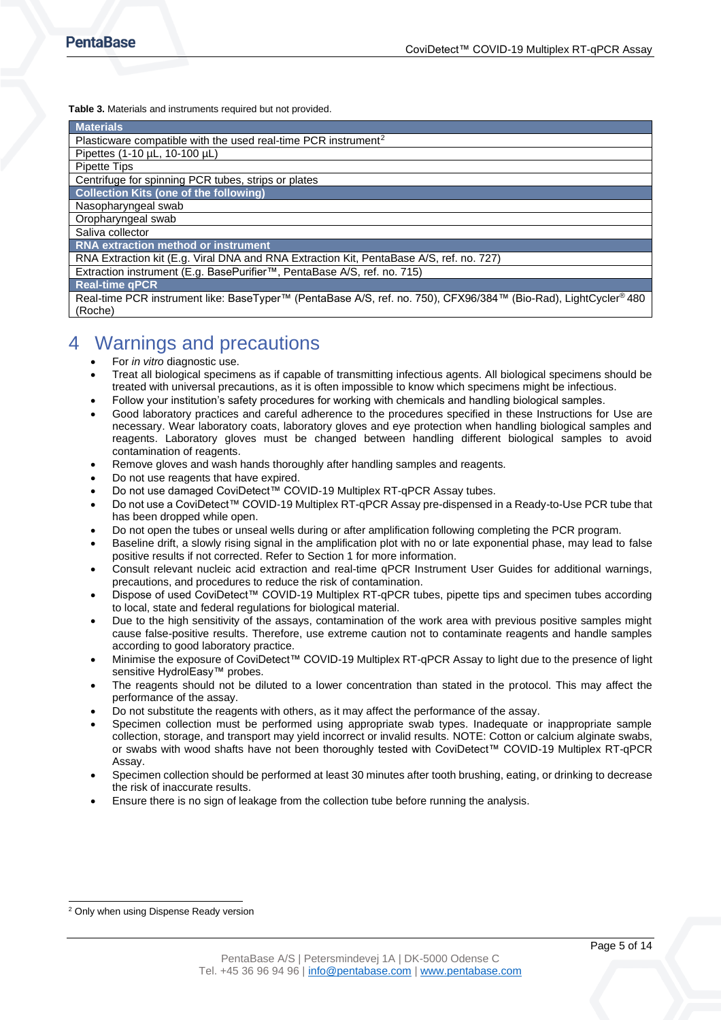#### <span id="page-4-1"></span>**Table 3.** Materials and instruments required but not provided.

| <b>Materials</b>                                                                                               |
|----------------------------------------------------------------------------------------------------------------|
| Plasticware compatible with the used real-time PCR instrument <sup>2</sup>                                     |
| Pipettes (1-10 µL, 10-100 µL)                                                                                  |
| Pipette Tips                                                                                                   |
| Centrifuge for spinning PCR tubes, strips or plates                                                            |
| <b>Collection Kits (one of the following)</b>                                                                  |
| Nasopharyngeal swab                                                                                            |
| Oropharyngeal swab                                                                                             |
| Saliva collector                                                                                               |
| <b>RNA extraction method or instrument</b>                                                                     |
| RNA Extraction kit (E.g. Viral DNA and RNA Extraction Kit, PentaBase A/S, ref. no. 727)                        |
| Extraction instrument (E.g. BasePurifier™, PentaBase A/S, ref. no. 715)                                        |
| <b>Real-time qPCR</b>                                                                                          |
| Real-time PCR instrument like: BaseTyper™ (PentaBase A/S, ref. no. 750), CFX96/384™ (Bio-Rad), LightCycler®480 |
| (Roche)                                                                                                        |

# <span id="page-4-0"></span>4 Warnings and precautions

- For *in vitro* diagnostic use.
- Treat all biological specimens as if capable of transmitting infectious agents. All biological specimens should be treated with universal precautions, as it is often impossible to know which specimens might be infectious.
- Follow your institution's safety procedures for working with chemicals and handling biological samples.
- Good laboratory practices and careful adherence to the procedures specified in these Instructions for Use are necessary. Wear laboratory coats, laboratory gloves and eye protection when handling biological samples and reagents. Laboratory gloves must be changed between handling different biological samples to avoid contamination of reagents.
- Remove gloves and wash hands thoroughly after handling samples and reagents.
- Do not use reagents that have expired.
- Do not use damaged CoviDetect™ COVID-19 Multiplex RT-qPCR Assay tubes.
- Do not use a CoviDetect™ COVID-19 Multiplex RT-qPCR Assay pre-dispensed in a Ready-to-Use PCR tube that has been dropped while open.
- Do not open the tubes or unseal wells during or after amplification following completing the PCR program.
- Baseline drift, a slowly rising signal in the amplification plot with no or late exponential phase, may lead to false positive results if not corrected. Refer to Section [1](#page-8-1) for more information.
- Consult relevant nucleic acid extraction and real-time qPCR Instrument User Guides for additional warnings, precautions, and procedures to reduce the risk of contamination.
- Dispose of used CoviDetect™ COVID-19 Multiplex RT-qPCR tubes, pipette tips and specimen tubes according to local, state and federal regulations for biological material.
- Due to the high sensitivity of the assays, contamination of the work area with previous positive samples might cause false-positive results. Therefore, use extreme caution not to contaminate reagents and handle samples according to good laboratory practice.
- Minimise the exposure of CoviDetect™ COVID-19 Multiplex RT-qPCR Assay to light due to the presence of light sensitive HydrolEasy<sup>™</sup> probes.
- The reagents should not be diluted to a lower concentration than stated in the protocol. This may affect the performance of the assay.
- Do not substitute the reagents with others, as it may affect the performance of the assay.
- Specimen collection must be performed using appropriate swab types. Inadequate or inappropriate sample collection, storage, and transport may yield incorrect or invalid results. NOTE: Cotton or calcium alginate swabs, or swabs with wood shafts have not been thoroughly tested with CoviDetect™ COVID-19 Multiplex RT-qPCR Assay.
- Specimen collection should be performed at least 30 minutes after tooth brushing, eating, or drinking to decrease the risk of inaccurate results.
- Ensure there is no sign of leakage from the collection tube before running the analysis.

<sup>2</sup> Only when using Dispense Ready version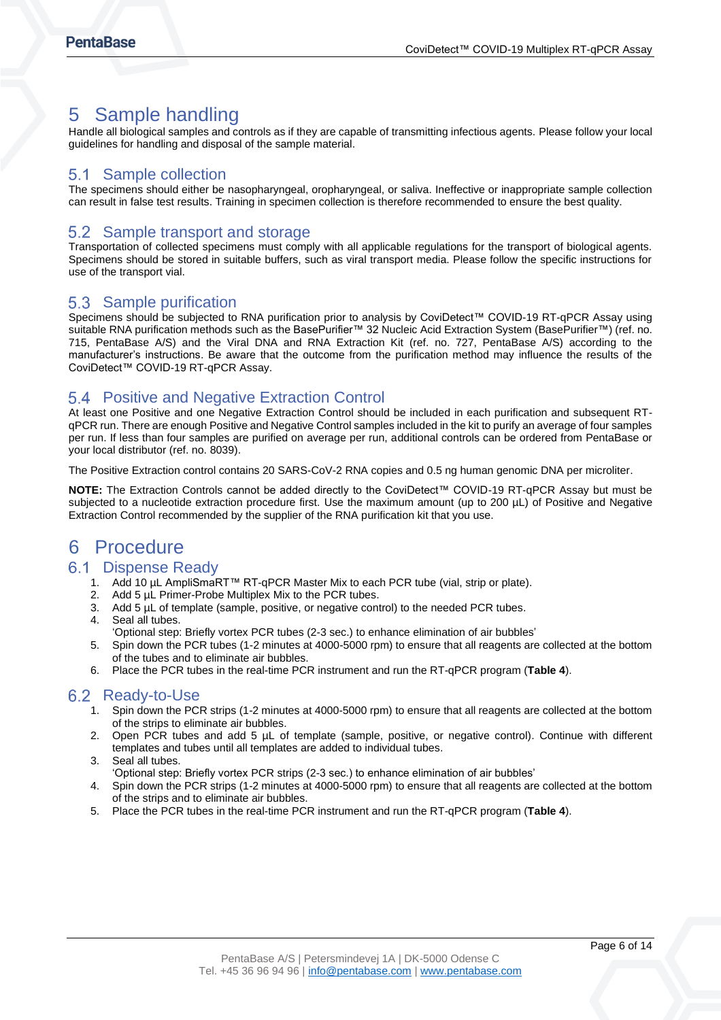# <span id="page-5-0"></span>5 Sample handling

Handle all biological samples and controls as if they are capable of transmitting infectious agents. Please follow your local guidelines for handling and disposal of the sample material.

## <span id="page-5-1"></span>5.1 Sample collection

The specimens should either be nasopharyngeal, oropharyngeal, or saliva. Ineffective or inappropriate sample collection can result in false test results. Training in specimen collection is therefore recommended to ensure the best quality.

## <span id="page-5-2"></span>5.2 Sample transport and storage

Transportation of collected specimens must comply with all applicable regulations for the transport of biological agents. Specimens should be stored in suitable buffers, such as viral transport media. Please follow the specific instructions for use of the transport vial.

## <span id="page-5-3"></span>Sample purification

Specimens should be subjected to RNA purification prior to analysis by CoviDetect™ COVID-19 RT-qPCR Assay using suitable RNA purification methods such as the BasePurifier™ 32 Nucleic Acid Extraction System (BasePurifier™) (ref. no. 715, PentaBase A/S) and the Viral DNA and RNA Extraction Kit (ref. no. 727, PentaBase A/S) according to the manufacturer's instructions. Be aware that the outcome from the purification method may influence the results of the CoviDetect™ COVID-19 RT-qPCR Assay.

## <span id="page-5-4"></span>Positive and Negative Extraction Control

At least one Positive and one Negative Extraction Control should be included in each purification and subsequent RTqPCR run. There are enough Positive and Negative Control samples included in the kit to purify an average of four samples per run. If less than four samples are purified on average per run, additional controls can be ordered from PentaBase or your local distributor (ref. no. 8039).

The Positive Extraction control contains 20 SARS-CoV-2 RNA copies and 0.5 ng human genomic DNA per microliter.

**NOTE:** The Extraction Controls cannot be added directly to the CoviDetect™ COVID-19 RT-qPCR Assay but must be subjected to a nucleotide extraction procedure first. Use the maximum amount (up to 200 µL) of Positive and Negative Extraction Control recommended by the supplier of the RNA purification kit that you use.

# <span id="page-5-5"></span>6 Procedure

## <span id="page-5-6"></span>6.1 Dispense Ready

- 1. Add 10 µL AmpliSmaRT™ RT-qPCR Master Mix to each PCR tube (vial, strip or plate).
- 2. Add 5  $\mu$ L Primer-Probe Multiplex Mix to the PCR tubes.<br>3. Add 5  $\mu$ L of template (sample, positive, or negative con
- Add 5 µL of template (sample, positive, or negative control) to the needed PCR tubes.
- 4. Seal all tubes.
- 'Optional step: Briefly vortex PCR tubes (2-3 sec.) to enhance elimination of air bubbles'
- 5. Spin down the PCR tubes (1-2 minutes at 4000-5000 rpm) to ensure that all reagents are collected at the bottom of the tubes and to eliminate air bubbles.
- 6. Place the PCR tubes in the real-time PCR instrument and run the RT-qPCR program (**[Table 4](#page-6-4)**).

## <span id="page-5-7"></span>6.2 Ready-to-Use

- 1. Spin down the PCR strips (1-2 minutes at 4000-5000 rpm) to ensure that all reagents are collected at the bottom of the strips to eliminate air bubbles.
- 2. Open PCR tubes and add 5 µL of template (sample, positive, or negative control). Continue with different templates and tubes until all templates are added to individual tubes.
- 3. Seal all tubes.
- 'Optional step: Briefly vortex PCR strips (2-3 sec.) to enhance elimination of air bubbles'
- 4. Spin down the PCR strips (1-2 minutes at 4000-5000 rpm) to ensure that all reagents are collected at the bottom of the strips and to eliminate air bubbles.
- 5. Place the PCR tubes in the real-time PCR instrument and run the RT-qPCR program (**[Table 4](#page-6-4)**).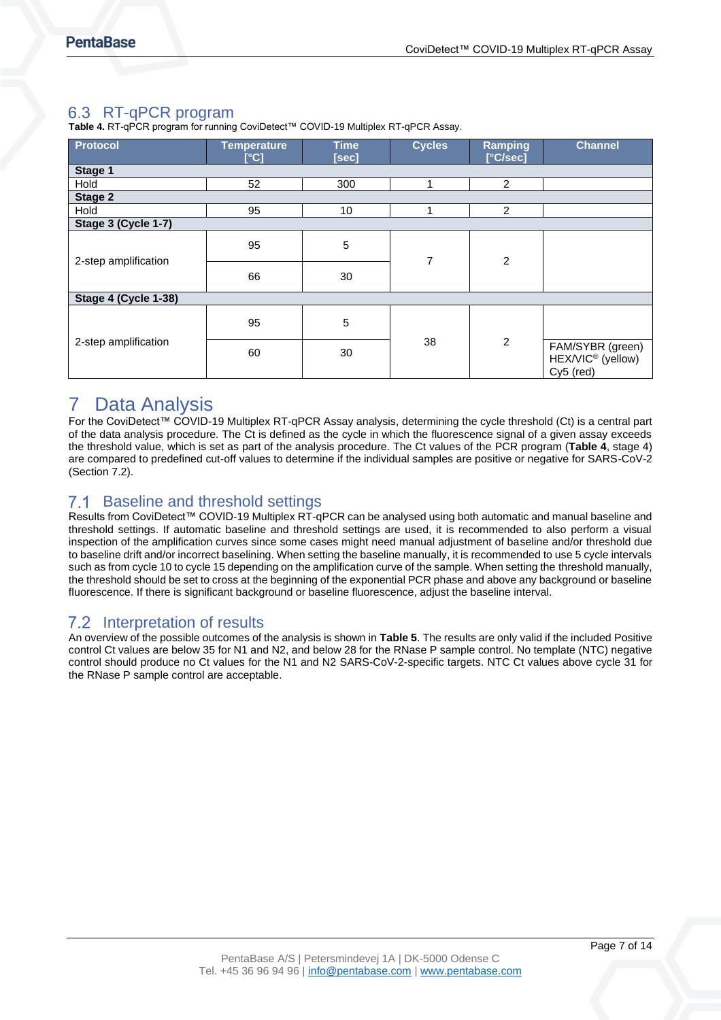## <span id="page-6-0"></span>6.3 RT-qPCR program

<span id="page-6-4"></span>**Table 4.** RT-qPCR program for running CoviDetect™ COVID-19 Multiplex RT-qPCR Assay.

| <b>Protocol</b>      | <b>Temperature</b><br>[°C] | <b>Time</b><br>[sec] | <b>Cycles</b> | Ramping<br>[°C/sec] | <b>Channel</b>                                                 |
|----------------------|----------------------------|----------------------|---------------|---------------------|----------------------------------------------------------------|
| Stage 1              |                            |                      |               |                     |                                                                |
| Hold                 | 52                         | 300                  | 1             | 2                   |                                                                |
| Stage 2              |                            |                      |               |                     |                                                                |
| Hold                 | 95                         | 10                   | 1             | 2                   |                                                                |
| Stage 3 (Cycle 1-7)  |                            |                      |               |                     |                                                                |
|                      | 95                         | 5                    | 7             | $\overline{2}$      |                                                                |
| 2-step amplification | 66                         | 30                   |               |                     |                                                                |
| Stage 4 (Cycle 1-38) |                            |                      |               |                     |                                                                |
|                      | 95                         | 5                    |               |                     |                                                                |
| 2-step amplification | 60                         | 30                   | 38            | $\overline{c}$      | FAM/SYBR (green)<br>HEX/VIC <sup>®</sup> (yellow)<br>Cy5 (red) |

# <span id="page-6-1"></span>7 Data Analysis

For the CoviDetect™ COVID-19 Multiplex RT-qPCR Assay analysis, determining the cycle threshold (Ct) is a central part of the data analysis procedure. The Ct is defined as the cycle in which the fluorescence signal of a given assay exceeds the threshold value, which is set as part of the analysis procedure. The Ct values of the PCR program (**[Table 4](#page-6-4)**, stage 4) are compared to predefined cut-off values to determine if the individual samples are positive or negative for SARS-CoV-2 (Section [7.2\)](#page-6-3).

## <span id="page-6-2"></span>7.1 Baseline and threshold settings

Results from CoviDetect™ COVID-19 Multiplex RT-qPCR can be analysed using both automatic and manual baseline and threshold settings. If automatic baseline and threshold settings are used, it is recommended to also perform a visual inspection of the amplification curves since some cases might need manual adjustment of baseline and/or threshold due to baseline drift and/or incorrect baselining. When setting the baseline manually, it is recommended to use 5 cycle intervals such as from cycle 10 to cycle 15 depending on the amplification curve of the sample. When setting the threshold manually, the threshold should be set to cross at the beginning of the exponential PCR phase and above any background or baseline fluorescence. If there is significant background or baseline fluorescence, adjust the baseline interval.

## <span id="page-6-3"></span>7.2 Interpretation of results

<span id="page-6-5"></span>An overview of the possible outcomes of the analysis is shown in **[Table 5](#page-6-5)**. The results are only valid if the included Positive control Ct values are below 35 for N1 and N2, and below 28 for the RNase P sample control. No template (NTC) negative control should produce no Ct values for the N1 and N2 SARS-CoV-2-specific targets. NTC Ct values above cycle 31 for the RNase P sample control are acceptable.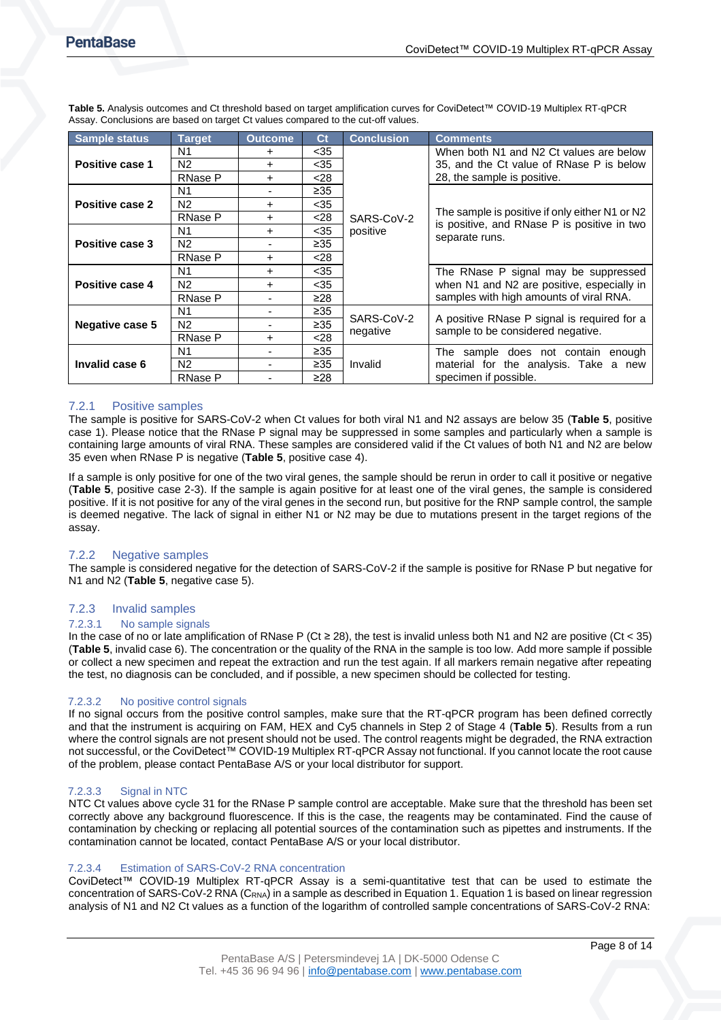| <b>Sample status</b>   | <b>Target</b>  | <b>Outcome</b> | C <sub>t</sub> | <b>Conclusion</b> | <b>Comments</b>                                               |  |
|------------------------|----------------|----------------|----------------|-------------------|---------------------------------------------------------------|--|
|                        | N <sub>1</sub> | ÷              | $35$           |                   | When both N1 and N2 Ct values are below                       |  |
| Positive case 1        | N <sub>2</sub> | $\ddot{}$      | $35$           |                   | 35, and the Ct value of RNase P is below                      |  |
|                        | RNase P        | $\ddot{}$      | < 28           |                   | 28, the sample is positive.                                   |  |
|                        | N <sub>1</sub> |                | $\geq 35$      |                   |                                                               |  |
| Positive case 2        | N <sub>2</sub> | +              | $35$           |                   |                                                               |  |
|                        | RNase P        | $\ddot{}$      | $<$ 28         | SARS-CoV-2        | The sample is positive if only either N1 or N2                |  |
|                        | N <sub>1</sub> | $\ddot{}$      | $35$           | positive          | is positive, and RNase P is positive in two<br>separate runs. |  |
| Positive case 3        | N <sub>2</sub> |                | $\geq 35$      |                   |                                                               |  |
|                        | RNase P        | $\div$         | $28$           |                   |                                                               |  |
|                        | N <sub>1</sub> | $\div$         | < 35           |                   | The RNase P signal may be suppressed                          |  |
| Positive case 4        | N <sub>2</sub> | $\ddot{}$      | $<$ 35         |                   | when N1 and N2 are positive, especially in                    |  |
|                        | RNase P        |                | ≥28            |                   | samples with high amounts of viral RNA.                       |  |
|                        | N <sub>1</sub> |                | $\geq 35$      |                   |                                                               |  |
| <b>Negative case 5</b> | N <sub>2</sub> |                | $\geq 35$      | SARS-CoV-2        | A positive RNase P signal is required for a                   |  |
|                        | RNase P        | $\ddot{}$      | $<$ 28         | negative          | sample to be considered negative.                             |  |
|                        | N <sub>1</sub> |                | $\geq 35$      |                   | The sample does not contain enough                            |  |
| Invalid case 6         | N <sub>2</sub> |                | $\geq 35$      | Invalid           | material for the analysis. Take a new                         |  |
|                        | RNase P        |                | $\geq$ 28      |                   | specimen if possible.                                         |  |

<span id="page-7-3"></span>**Table 5.** Analysis outcomes and Ct threshold based on target amplification curves for CoviDetect™ COVID-19 Multiplex RT-qPCR Assay. Conclusions are based on target Ct values compared to the cut-off values.

#### <span id="page-7-0"></span>7.2.1 Positive samples

The sample is positive for SARS-CoV-2 when Ct values for both viral N1 and N2 assays are below 35 (**[Table 5](#page-6-5)**, positive case 1). Please notice that the RNase P signal may be suppressed in some samples and particularly when a sample is containing large amounts of viral RNA. These samples are considered valid if the Ct values of both N1 and N2 are below 35 even when RNase P is negative (**[Table 5](#page-6-5)**, positive case 4).

If a sample is only positive for one of the two viral genes, the sample should be rerun in order to call it positive or negative (**[Table 5](#page-6-5)**, positive case 2-3). If the sample is again positive for at least one of the viral genes, the sample is considered positive. If it is not positive for any of the viral genes in the second run, but positive for the RNP sample control, the sample is deemed negative. The lack of signal in either N1 or N2 may be due to mutations present in the target regions of the assay.

#### <span id="page-7-1"></span>7.2.2 Negative samples

The sample is considered negative for the detection of SARS-CoV-2 if the sample is positive for RNase P but negative for N1 and N2 (**[Table 5](#page-6-5)**, negative case 5).

#### <span id="page-7-2"></span>7.2.3 Invalid samples

#### 7.2.3.1 No sample signals

In the case of no or late amplification of RNase P (Ct  $\geq$  28), the test is invalid unless both N1 and N2 are positive (Ct < 35) (**[Table 5](#page-6-5)**, invalid case 6). The concentration or the quality of the RNA in the sample is too low. Add more sample if possible or collect a new specimen and repeat the extraction and run the test again. If all markers remain negative after repeating the test, no diagnosis can be concluded, and if possible, a new specimen should be collected for testing.

#### 7.2.3.2 No positive control signals

If no signal occurs from the positive control samples, make sure that the RT-qPCR program has been defined correctly and that the instrument is acquiring on FAM, HEX and Cy5 channels in Step 2 of Stage 4 (**[Table 5](#page-7-3)**). Results from a run where the control signals are not present should not be used. The control reagents might be degraded, the RNA extraction not successful, or the CoviDetect™ COVID-19 Multiplex RT-qPCR Assay not functional. If you cannot locate the root cause of the problem, please contact PentaBase A/S or your local distributor for support.

#### 7.2.3.3 Signal in NTC

NTC Ct values above cycle 31 for the RNase P sample control are acceptable. Make sure that the threshold has been set correctly above any background fluorescence. If this is the case, the reagents may be contaminated. Find the cause of contamination by checking or replacing all potential sources of the contamination such as pipettes and instruments. If the contamination cannot be located, contact PentaBase A/S or your local distributor.

#### 7.2.3.4 Estimation of SARS-CoV-2 RNA concentration

CoviDetect™ COVID-19 Multiplex RT-qPCR Assay is a semi-quantitative test that can be used to estimate the concentration of SARS-CoV-2 RNA (C<sub>RNA</sub>) in a sample as described in Equation 1. Equation 1 is based on linear regression analysis of N1 and N2 Ct values as a function of the logarithm of controlled sample concentrations of SARS-CoV-2 RNA: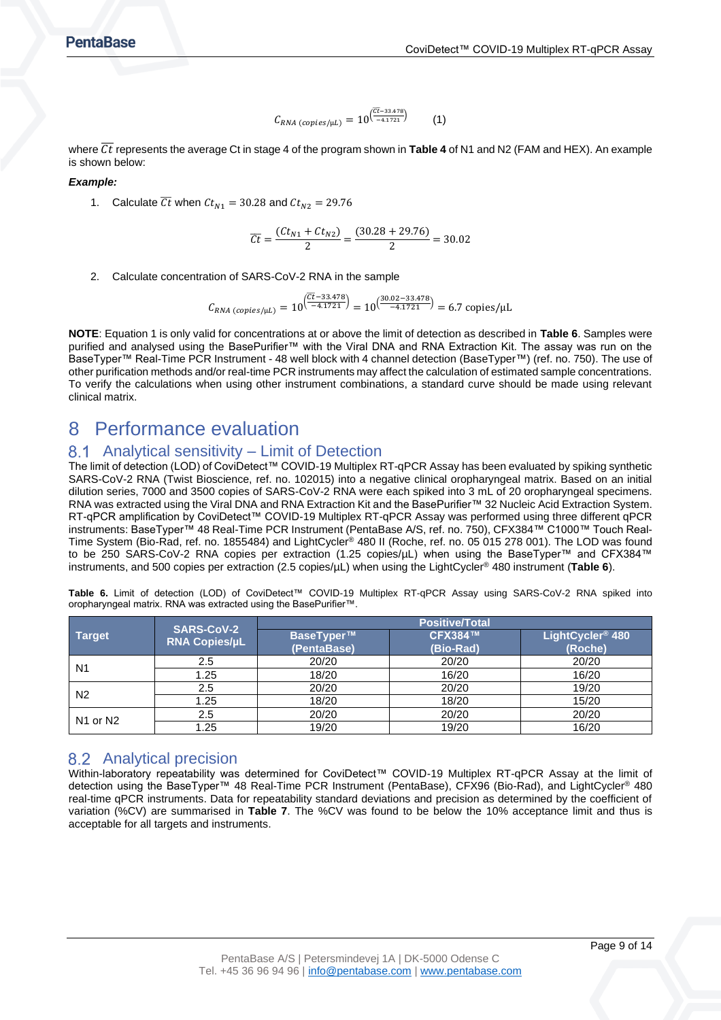$$
C_{RNA\ (copies/\mu L)} = 10^{\left(\frac{\overline{C}t - 33.478}{-4.1721}\right)}\tag{1}
$$

where *Ct* represents the average Ct in stage 4 of the program shown in **[Table 4](#page-6-4)** of N1 and N2 (FAM and HEX). An example is shown below:

#### *Example:*

1. Calculate  $\overline{Ct}$  when  $Ct_{N1} = 30.28$  and  $Ct_{N2} = 29.76$ 

$$
\overline{Ct} = \frac{(Ct_{N1} + Ct_{N2})}{2} = \frac{(30.28 + 29.76)}{2} = 30.02
$$

2. Calculate concentration of SARS-CoV-2 RNA in the sample

$$
C_{RNA\ (copies/\mu L)} = 10^{\left(\frac{\overline{C}t - 33.478}{-4.1721}\right)} = 10^{\left(\frac{30.02 - 33.478}{-4.1721}\right)} = 6.7 \text{ copies/\mu L}
$$

**NOTE**: Equation 1 is only valid for concentrations at or above the limit of detection as described in **[Table 6](#page-8-3)**. Samples were purified and analysed using the BasePurifier™ with the Viral DNA and RNA Extraction Kit. The assay was run on the BaseTyper™ Real-Time PCR Instrument - 48 well block with 4 channel detection (BaseTyper™) (ref. no. 750). The use of other purification methods and/or real-time PCR instruments may affect the calculation of estimated sample concentrations. To verify the calculations when using other instrument combinations, a standard curve should be made using relevant clinical matrix.

# <span id="page-8-0"></span>8 Performance evaluation

## <span id="page-8-1"></span>Analytical sensitivity – Limit of Detection

The limit of detection (LOD) of CoviDetect™ COVID-19 Multiplex RT-qPCR Assay has been evaluated by spiking synthetic SARS-CoV-2 RNA (Twist Bioscience, ref. no. 102015) into a negative clinical oropharyngeal matrix. Based on an initial dilution series, 7000 and 3500 copies of SARS-CoV-2 RNA were each spiked into 3 mL of 20 oropharyngeal specimens. RNA was extracted using the Viral DNA and RNA Extraction Kit and the BasePurifier™ 32 Nucleic Acid Extraction System. RT-qPCR amplification by CoviDetect™ COVID-19 Multiplex RT-qPCR Assay was performed using three different qPCR instruments: BaseTyper™ 48 Real-Time PCR Instrument (PentaBase A/S, ref. no. 750), CFX384™ C1000™ Touch Real-Time System (Bio-Rad, ref. no. 1855484) and LightCycler® 480 II (Roche, ref. no. 05 015 278 001). The LOD was found to be 250 SARS-CoV-2 RNA copies per extraction (1.25 copies/µL) when using the BaseTyper™ and CFX384™ instruments, and 500 copies per extraction (2.5 copies/µL) when using the LightCycler® 480 instrument (**[Table 6](#page-8-3)**).

<span id="page-8-3"></span>**Table 6.** Limit of detection (LOD) of CoviDetect™ COVID-19 Multiplex RT-qPCR Assay using SARS-CoV-2 RNA spiked into oropharyngeal matrix. RNA was extracted using the BasePurifier™.

|                                  | <b>SARS-CoV-2</b>    | <b>Positive/Total</b>     |                      |                                         |  |  |
|----------------------------------|----------------------|---------------------------|----------------------|-----------------------------------------|--|--|
| <b>Target</b>                    | <b>RNA Copies/uL</b> | BaseTyper™<br>(PentaBase) | CFX384™<br>(Bio-Rad) | LightCycler <sup>®</sup> 480<br>(Roche) |  |  |
| N <sub>1</sub>                   | 2.5                  | 20/20                     | 20/20                | 20/20                                   |  |  |
|                                  | 1.25                 | 18/20                     | 16/20                | 16/20                                   |  |  |
| N <sub>2</sub>                   | 2.5                  | 20/20                     | 20/20                | 19/20                                   |  |  |
|                                  | 1.25                 | 18/20                     | 18/20                | 15/20                                   |  |  |
| N <sub>1</sub> or N <sub>2</sub> | 2.5                  | 20/20                     | 20/20                | 20/20                                   |  |  |
|                                  | 1.25                 | 19/20                     | 19/20                | 16/20                                   |  |  |

## <span id="page-8-2"></span>8.2 Analytical precision

<span id="page-8-4"></span>Within-laboratory repeatability was determined for CoviDetect™ COVID-19 Multiplex RT-qPCR Assay at the limit of detection using the BaseTyper™ 48 Real-Time PCR Instrument (PentaBase), CFX96 (Bio-Rad), and LightCycler® 480 real-time qPCR instruments. Data for repeatability standard deviations and precision as determined by the coefficient of variation (%CV) are summarised in **[Table 7](#page-8-4)**. The %CV was found to be below the 10% acceptance limit and thus is acceptable for all targets and instruments.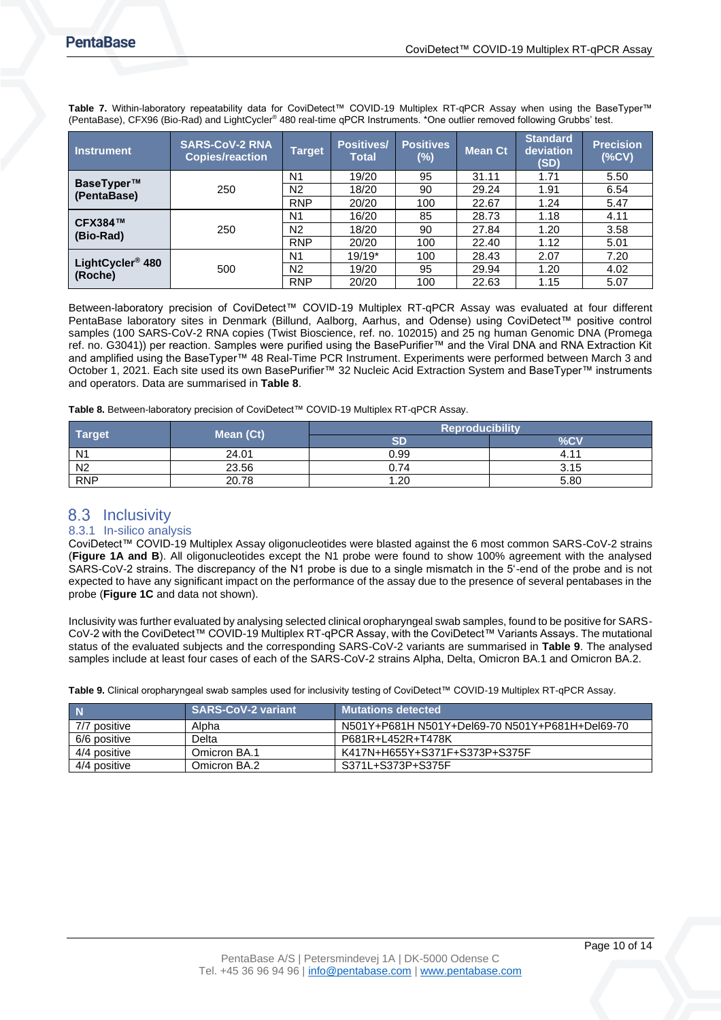**Instrument SARS-CoV-2 RNA Copies/reaction Target Positives/ Total** Positives<sup>1</sup> **(%) Mean Ct Standard deviation (SD) Precision (%CV) BaseTyper™ (PentaBase)** <sup>250</sup> N1 19/20 95 31.11 1.71 5.50 N2 18/20 90 29.24 1.91 6.54 RNP 20/20 100 22.67 1.24 5.47 **CFX384™ (Bio-Rad)** <sup>250</sup> <u>N1 | 16/20 | 85 | 28.73 | 1.18 | 4.11</u> N2 18/20 90 27.84 1.20 3.58 RNP 20/20 100 22.40 1.12 5.01 **LightCycler® 480 (Roche)** <sup>500</sup> N1 19/19\* 100 28.43 2.07 7.20 N2 19/20 95 29.94 1.20 4.02 RNP 20/20 100 22.63 1.15 5.07

**Table 7.** Within-laboratory repeatability data for CoviDetect™ COVID-19 Multiplex RT-qPCR Assay when using the BaseTyper™ (PentaBase), CFX96 (Bio-Rad) and LightCycler® 480 real-time qPCR Instruments. \*One outlier removed following Grubbs' test.

Between-laboratory precision of CoviDetect™ COVID-19 Multiplex RT-qPCR Assay was evaluated at four different PentaBase laboratory sites in Denmark (Billund, Aalborg, Aarhus, and Odense) using CoviDetect™ positive control samples (100 SARS-CoV-2 RNA copies (Twist Bioscience, ref. no. 102015) and 25 ng human Genomic DNA (Promega ref. no. G3041)) per reaction. Samples were purified using the BasePurifier™ and the Viral DNA and RNA Extraction Kit and amplified using the BaseTyper™ 48 Real-Time PCR Instrument. Experiments were performed between March 3 and October 1, 2021. Each site used its own BasePurifier™ 32 Nucleic Acid Extraction System and BaseTyper™ instruments and operators. Data are summarised in **[Table 8](#page-9-2)**.

<span id="page-9-2"></span>**Table 8.** Between-laboratory precision of CoviDetect™ COVID-19 Multiplex RT-qPCR Assay.

|                |       | <b>Reproducibility</b><br>Mean (Ct) |      |  |
|----------------|-------|-------------------------------------|------|--|
| <b>Target</b>  |       | SD                                  | %CV  |  |
| N <sub>1</sub> | 24.01 | 0.99                                | 4.11 |  |
| N <sub>2</sub> | 23.56 | 0.74                                | 3.15 |  |
| <b>RNP</b>     | 20.78 | 1.20                                | 5.80 |  |

## <span id="page-9-0"></span>8.3 Inclusivity

#### <span id="page-9-1"></span>8.3.1 In-silico analysis

CoviDetect™ COVID-19 Multiplex Assay oligonucleotides were blasted against the 6 most common SARS-CoV-2 strains (**[Figure 1A](#page-10-2) and B**). All oligonucleotides except the N1 probe were found to show 100% agreement with the analysed SARS-CoV-2 strains. The discrepancy of the N1 probe is due to a single mismatch in the 5'-end of the probe and is not expected to have any significant impact on the performance of the assay due to the presence of several pentabases in the probe (**[Figure 1C](#page-10-2)** and data not shown).

Inclusivity was further evaluated by analysing selected clinical oropharyngeal swab samples, found to be positive for SARS-CoV-2 with the CoviDetect™ COVID-19 Multiplex RT-qPCR Assay, with the CoviDetect™ Variants Assays. The mutational status of the evaluated subjects and the corresponding SARS-CoV-2 variants are summarised in **Table 9**. The analysed samples include at least four cases of each of the SARS-CoV-2 strains Alpha, Delta, Omicron BA.1 and Omicron BA.2.

**Table 9.** Clinical oropharyngeal swab samples used for inclusivity testing of CoviDetect™ COVID-19 Multiplex RT-qPCR Assay.

| $\overline{\phantom{a}}$ N | <b>SARS-CoV-2 variant</b> | Mutations detected                              |
|----------------------------|---------------------------|-------------------------------------------------|
| 7/7 positive               | Alpha                     | N501Y+P681H N501Y+Del69-70 N501Y+P681H+Del69-70 |
| 6/6 positive               | Delta                     | P681R+L452R+T478K                               |
| 4/4 positive               | Omicron BA.1              | K417N+H655Y+S371F+S373P+S375F                   |
| 4/4 positive               | Omicron BA.2              | S371L+S373P+S375F                               |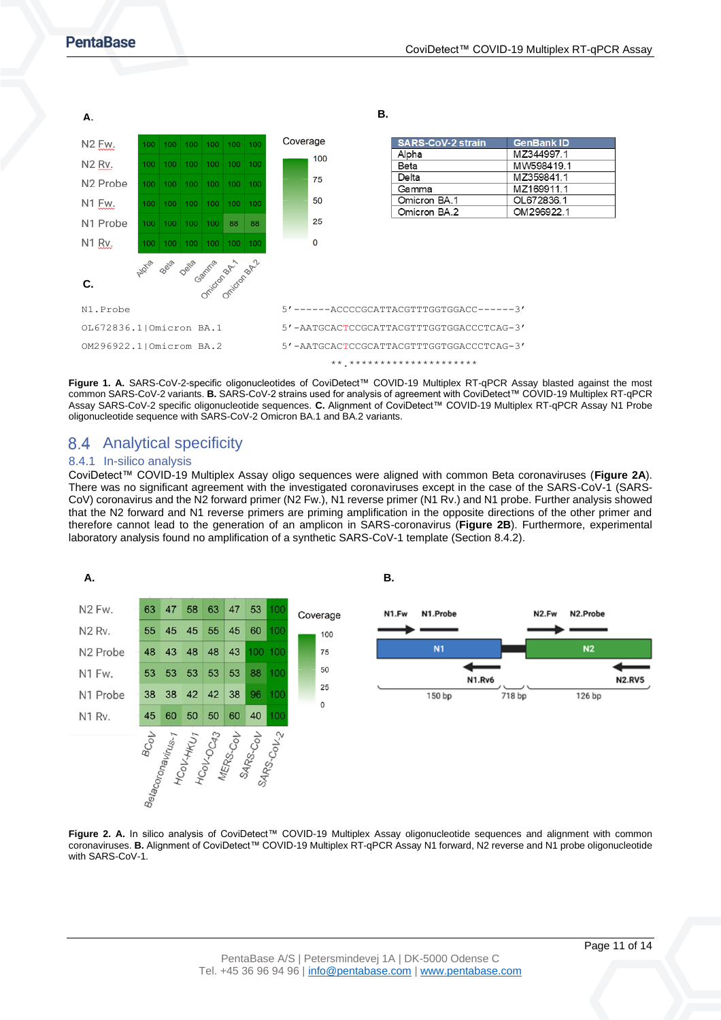

<span id="page-10-2"></span>**Figure 1. A.** SARS-CoV-2-specific oligonucleotides of CoviDetect™ COVID-19 Multiplex RT-qPCR Assay blasted against the most common SARS-CoV-2 variants. **B.** SARS-CoV-2 strains used for analysis of agreement with CoviDetect™ COVID-19 Multiplex RT-qPCR Assay SARS-CoV-2 specific oligonucleotide sequences. **C.** Alignment of CoviDetect™ COVID-19 Multiplex RT-qPCR Assay N1 Probe oligonucleotide sequence with SARS-CoV-2 Omicron BA.1 and BA.2 variants.

## <span id="page-10-0"></span>8.4 Analytical specificity

#### <span id="page-10-1"></span>8.4.1 In-silico analysis

CoviDetect™ COVID-19 Multiplex Assay oligo sequences were aligned with common Beta coronaviruses (**[Figure 2A](#page-10-3)**). There was no significant agreement with the investigated coronaviruses except in the case of the SARS-CoV-1 (SARS-CoV) coronavirus and the N2 forward primer (N2 Fw.), N1 reverse primer (N1 Rv.) and N1 probe. Further analysis showed that the N2 forward and N1 reverse primers are priming amplification in the opposite directions of the other primer and therefore cannot lead to the generation of an amplicon in SARS-coronavirus (**[Figure 2B](#page-10-3)**). Furthermore, experimental laboratory analysis found no amplification of a synthetic SARS-CoV-1 template (Section [8.4.2\)](#page-11-0).



<span id="page-10-3"></span>Fiqure 2. A. In silico analysis of CoviDetect™ COVID-19 Multiplex Assay oligonucleotide sequences and alignment with common coronaviruses. **B.** Alignment of CoviDetect™ COVID-19 Multiplex RT-qPCR Assay N1 forward, N2 reverse and N1 probe oligonucleotide with SARS-CoV-1.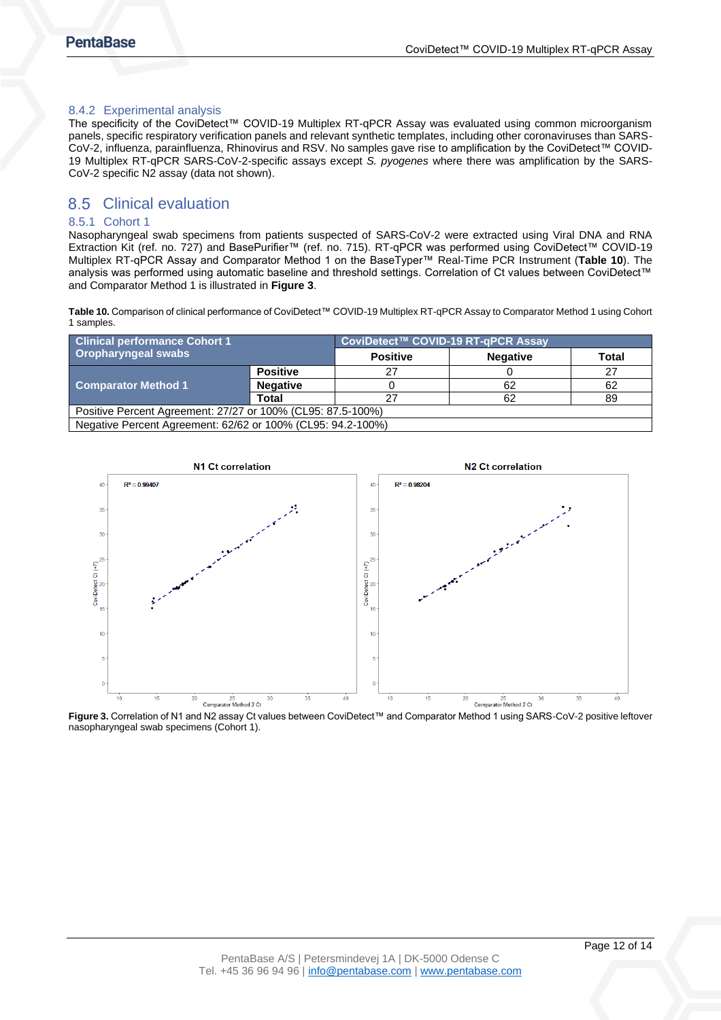#### <span id="page-11-0"></span>8.4.2 Experimental analysis

The specificity of the CoviDetect™ COVID-19 Multiplex RT-qPCR Assay was evaluated using common microorganism panels, specific respiratory verification panels and relevant synthetic templates, including other coronaviruses than SARS-CoV-2, influenza, parainfluenza, Rhinovirus and RSV. No samples gave rise to amplification by the CoviDetect™ COVID-19 Multiplex RT-qPCR SARS-CoV-2-specific assays except *S. pyogenes* where there was amplification by the SARS-CoV-2 specific N2 assay (data not shown).

## <span id="page-11-1"></span>8.5 Clinical evaluation

### <span id="page-11-2"></span>8.5.1 Cohort 1

Nasopharyngeal swab specimens from patients suspected of SARS-CoV-2 were extracted using Viral DNA and RNA Extraction Kit (ref. no. 727) and BasePurifier™ (ref. no. 715). RT-qPCR was performed using CoviDetect™ COVID-19 Multiplex RT-qPCR Assay and Comparator Method 1 on the BaseTyper™ Real-Time PCR Instrument (**[Table 10](#page-11-3)**). The analysis was performed using automatic baseline and threshold settings. Correlation of Ct values between CoviDetect™ and Comparator Method 1 is illustrated in **[Figure 3](#page-11-4)**.

<span id="page-11-3"></span>**Table 10.** Comparison of clinical performance of CoviDetect™ COVID-19 Multiplex RT-qPCR Assay to Comparator Method 1 using Cohort 1 samples.

| <b>Clinical performance Cohort 1</b><br><b>Oropharyngeal swabs</b> |                 | CoviDetect™ COVID-19 RT-qPCR Assay |                 |       |  |
|--------------------------------------------------------------------|-----------------|------------------------------------|-----------------|-------|--|
|                                                                    |                 | <b>Positive</b>                    | <b>Negative</b> | Total |  |
|                                                                    | <b>Positive</b> | 27                                 |                 | 27    |  |
| <b>Comparator Method 1</b>                                         | <b>Negative</b> |                                    | 62              | 62    |  |
| <b>Total</b>                                                       |                 | 27                                 | 62              | 89    |  |
| Positive Percent Agreement: 27/27 or 100% (CL95: 87.5-100%)        |                 |                                    |                 |       |  |
| Negative Percent Agreement: 62/62 or 100% (CL95: 94.2-100%)        |                 |                                    |                 |       |  |



<span id="page-11-4"></span>**Figure 3.** Correlation of N1 and N2 assay Ct values between CoviDetect™ and Comparator Method 1 using SARS-CoV-2 positive leftover nasopharyngeal swab specimens (Cohort 1).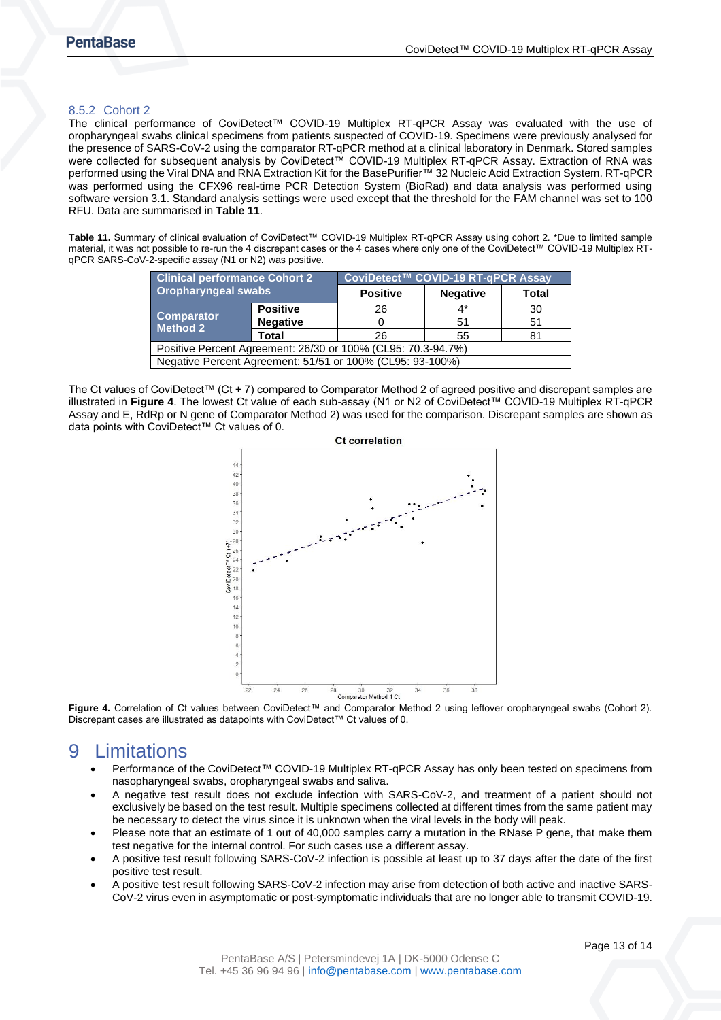#### <span id="page-12-0"></span>8.5.2 Cohort 2

The clinical performance of CoviDetect™ COVID-19 Multiplex RT-qPCR Assay was evaluated with the use of oropharyngeal swabs clinical specimens from patients suspected of COVID-19. Specimens were previously analysed for the presence of SARS-CoV-2 using the comparator RT-qPCR method at a clinical laboratory in Denmark. Stored samples were collected for subsequent analysis by CoviDetect™ COVID-19 Multiplex RT-qPCR Assay. Extraction of RNA was performed using the Viral DNA and RNA Extraction Kit for the BasePurifier™ 32 Nucleic Acid Extraction System. RT-qPCR was performed using the CFX96 real-time PCR Detection System (BioRad) and data analysis was performed using software version 3.1. Standard analysis settings were used except that the threshold for the FAM channel was set to 100 RFU. Data are summarised in **[Table 11](#page-12-2)**.

<span id="page-12-2"></span>**Table 11.** Summary of clinical evaluation of CoviDetect™ COVID-19 Multiplex RT-qPCR Assay using cohort 2. \*Due to limited sample material, it was not possible to re-run the 4 discrepant cases or the 4 cases where only one of the CoviDetect™ COVID-19 Multiplex RTqPCR SARS-CoV-2-specific assay (N1 or N2) was positive.

| <b>Clinical performance Cohort 2</b><br><b>Oropharyngeal swabs</b> |                 | CoviDetect™ COVID-19 RT-qPCR Assay |                 |              |  |
|--------------------------------------------------------------------|-----------------|------------------------------------|-----------------|--------------|--|
|                                                                    |                 | <b>Positive</b>                    | <b>Negative</b> | <b>Total</b> |  |
|                                                                    | <b>Positive</b> | 26                                 | 4*              | 30           |  |
| <b>Comparator</b><br><b>Method 2</b>                               | <b>Negative</b> |                                    | 51              | 51           |  |
|                                                                    | Total           | 26                                 | 55              | 81           |  |
| Positive Percent Agreement: 26/30 or 100% (CL95: 70.3-94.7%)       |                 |                                    |                 |              |  |
| Negative Percent Agreement: 51/51 or 100% (CL95: 93-100%)          |                 |                                    |                 |              |  |

The Ct values of CoviDetect™ (Ct + 7) compared to Comparator Method 2 of agreed positive and discrepant samples are illustrated in **[Figure 4](#page-12-3)**. The lowest Ct value of each sub-assay (N1 or N2 of CoviDetect™ COVID-19 Multiplex RT-qPCR Assay and E, RdRp or N gene of Comparator Method 2) was used for the comparison. Discrepant samples are shown as data points with CoviDetect™ Ct values of 0.



<span id="page-12-3"></span>Fiqure 4. Correlation of Ct values between CoviDetect™ and Comparator Method 2 using leftover oropharyngeal swabs (Cohort 2). Discrepant cases are illustrated as datapoints with CoviDetect™ Ct values of 0.

# <span id="page-12-1"></span>9 Limitations

- Performance of the CoviDetect™ COVID-19 Multiplex RT-qPCR Assay has only been tested on specimens from nasopharyngeal swabs, oropharyngeal swabs and saliva.
- A negative test result does not exclude infection with SARS-CoV-2, and treatment of a patient should not exclusively be based on the test result. Multiple specimens collected at different times from the same patient may be necessary to detect the virus since it is unknown when the viral levels in the body will peak.
- Please note that an estimate of 1 out of 40,000 samples carry a mutation in the RNase P gene, that make them test negative for the internal control. For such cases use a different assay.
- A positive test result following SARS-CoV-2 infection is possible at least up to 37 days after the date of the first positive test result.
- A positive test result following SARS-CoV-2 infection may arise from detection of both active and inactive SARS-CoV-2 virus even in asymptomatic or post-symptomatic individuals that are no longer able to transmit COVID-19.